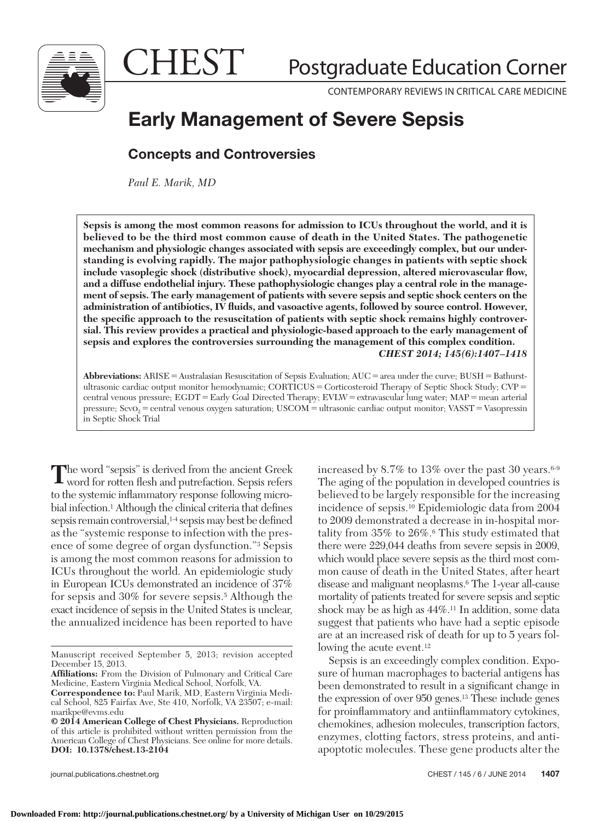

CHEST

Postgraduate Education Corner

CONTEMPORARY REVIEWS IN CRITICAL CARE MEDICINE

# **Early Management of Severe Sepsis**

# **Concepts and Controversies**

 *Paul E. Marik , MD* 

**Sepsis is among the most common reasons for admission to ICUs throughout the world, and it is believed to be the third most common cause of death in the United States. The pathogenetic mechanism and physiologic changes associated with sepsis are exceedingly complex, but our understanding is evolving rapidly. The major pathophysiologic changes in patients with septic shock**  include vasoplegic shock (distributive shock), myocardial depression, altered microvascular flow, **and a diffuse endothelial injury. These pathophysiologic changes play a central role in the management of sepsis. The early management of patients with severe sepsis and septic shock centers on the**  administration of antibiotics, IV fluids, and vasoactive agents, followed by source control. However, the specific approach to the resuscitation of patients with septic shock remains highly controver**sial. This review provides a practical and physiologic-based approach to the early management of sepsis and explores the controversies surrounding the management of this complex condition.**  *CHEST 2014; 145(6):1407-1418* 

**Abbreviations:** ARISE = Australasian Resuscitation of Sepsis Evaluation; AUC = area under the curve; BUSH = Bathurstultrasonic cardiac output monitor hemodynamic;  $CORT\hat{C}US = Corticosteroid$  Therapy of Septic Shock Study;  $CVP =$ central venous pressure; EGDT = Early Goal Directed Therapy; EVLW = extravascular lung water; MAP = mean arterial pressure;  $Scvo_2$  = central venous oxygen saturation;  $USCOM$  = ultrasonic cardiac output monitor; VASST = Vasopressin in Septic Shock Trial

The word "sepsis" is derived from the ancient Greek word for rotten flesh and putrefaction. Sepsis refers to the systemic inflammatory response following microbial infection.<sup>1</sup> Although the clinical criteria that defines sepsis remain controversial,<sup>1-4</sup> sepsis may best be defined as the "systemic response to infection with the presence of some degree of organ dysfunction."<sup>3</sup> Sepsis is among the most common reasons for admission to ICUs throughout the world. An epidemiologic study in European ICUs demonstrated an incidence of 37% for sepsis and 30% for severe sepsis. 5 Although the exact incidence of sepsis in the United States is unclear, the annualized incidence has been reported to have

increased by 8.7% to 13% over the past 30 years.  $6-9$ The aging of the population in developed countries is believed to be largely responsible for the increasing incidence of sepsis. 10 Epidemiologic data from 2004 to 2009 demonstrated a decrease in in-hospital mortality from 35% to 26%. 6 This study estimated that there were 229,044 deaths from severe sepsis in 2009, which would place severe sepsis as the third most common cause of death in the United States, after heart disease and malignant neoplasms. 6 The 1-year all-cause mortality of patients treated for severe sepsis and septic shock may be as high as 44%. 11 In addition, some data suggest that patients who have had a septic episode are at an increased risk of death for up to 5 years following the acute event.<sup>12</sup>

 Sepsis is an exceedingly complex condition. Exposure of human macrophages to bacterial antigens has been demonstrated to result in a significant change in the expression of over 950 genes.<sup>13</sup> These include genes for proinflammatory and antiinflammatory cytokines, chemokines, adhesion molecules, transcription factors, enzymes, clotting factors, stress proteins, and antiapoptotic molecules. These gene products alter the

Manuscript received September 5, 2013; revision accepted December 15, 2013.

Affiliations: From the Division of Pulmonary and Critical Care Medicine, Eastern Virginia Medical School, Norfolk, VA.

**Correspondence to:** Paul Marik, MD, Eastern Virginia Medical School, 825 Fairfax Ave, Ste 410, Norfolk, VA 23507; e-mail:  [marikpe@evms.edu](mailto:marikpe@evms.edu) 

**<sup>© 2014</sup> American College of Chest Physicians.** Reproduction of this article is prohibited without written permission from the American College of Chest Physicians. See online for more details. **DOI: 10.1378/chest.13-2104**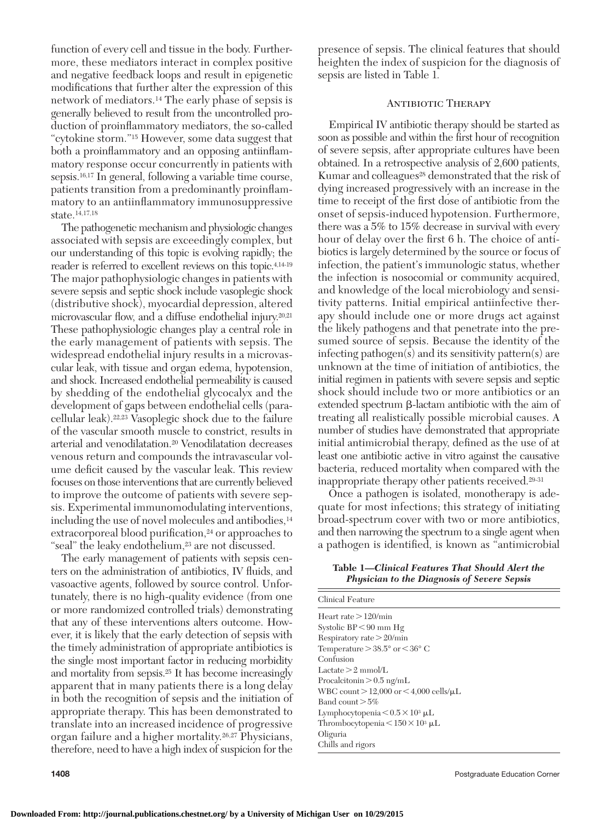function of every cell and tissue in the body. Furthermore, these mediators interact in complex positive and negative feedback loops and result in epigenetic modifications that further alter the expression of this network of mediators. 14 The early phase of sepsis is generally believed to result from the uncontrolled production of proinflammatory mediators, the so-called "cytokine storm." 15 However, some data suggest that both a proinflammatory and an opposing antiinflammatory response occur concurrently in patients with sepsis.<sup>16,17</sup> In general, following a variable time course, patients transition from a predominantly proinflammatory to an antiinflammatory immunosuppressive state.<sup>14,17,18</sup>

 The pathogenetic mechanism and physiologic changes associated with sepsis are exceedingly complex, but our understanding of this topic is evolving rapidly; the reader is referred to excellent reviews on this topic.<sup>4,14-19</sup> The major pathophysiologic changes in patients with severe sepsis and septic shock include vasoplegic shock (distributive shock), myocardial depression, altered microvascular flow, and a diffuse endothelial injury.<sup>20,21</sup> These pathophysiologic changes play a central role in the early management of patients with sepsis. The widespread endothelial injury results in a microvascular leak, with tissue and organ edema, hypotension, and shock. Increased endothelial permeability is caused by shedding of the endothelial glycocalyx and the development of gaps between endothelial cells (paracellular leak). <sup>22,23</sup> Vasoplegic shock due to the failure of the vascular smooth muscle to constrict, results in arterial and venodilatation. 20 Venodilatation decreases venous return and compounds the intravascular volume deficit caused by the vascular leak. This review focuses on those interventions that are currently believed to improve the outcome of patients with severe sepsis. Experimental immunomodulating interventions, including the use of novel molecules and antibodies, 14 extracorporeal blood purification,<sup>24</sup> or approaches to "seal" the leaky endothelium,<sup>23</sup> are not discussed.

 The early management of patients with sepsis centers on the administration of antibiotics, IV fluids, and vasoactive agents, followed by source control. Unfortunately, there is no high-quality evidence (from one or more randomized controlled trials) demonstrating that any of these interventions alters outcome. However, it is likely that the early detection of sepsis with the timely administration of appropriate antibiotics is the single most important factor in reducing morbidity and mortality from sepsis.<sup>25</sup> It has become increasingly apparent that in many patients there is a long delay in both the recognition of sepsis and the initiation of appropriate therapy. This has been demonstrated to translate into an increased incidence of progressive organ failure and a higher mortality.<sup>26,27</sup> Physicians, therefore, need to have a high index of suspicion for the

presence of sepsis. The clinical features that should heighten the index of suspicion for the diagnosis of sepsis are listed in Table 1 *.*

# Antibiotic Therapy

 Empirical IV antibiotic therapy should be started as soon as possible and within the first hour of recognition of severe sepsis, after appropriate cultures have been obtained. In a retrospective analysis of 2,600 patients, Kumar and colleagues<sup>28</sup> demonstrated that the risk of dying increased progressively with an increase in the time to receipt of the first dose of antibiotic from the onset of sepsis-induced hypotension. Furthermore, there was a 5% to 15% decrease in survival with every hour of delay over the first 6 h. The choice of antibiotics is largely determined by the source or focus of infection, the patient's immunologic status, whether the infection is nosocomial or community acquired, and knowledge of the local microbiology and sensitivity patterns. Initial empirical antiinfective therapy should include one or more drugs act against the likely pathogens and that penetrate into the presumed source of sepsis. Because the identity of the infecting pathogen(s) and its sensitivity pattern(s) are unknown at the time of initiation of antibiotics, the initial regimen in patients with severe sepsis and septic shock should include two or more antibiotics or an extended spectrum  $\beta$ -lactam antibiotic with the aim of treating all realistically possible microbial causes. A number of studies have demonstrated that appropriate initial antimicrobial therapy, defined as the use of at least one antibiotic active in vitro against the causative bacteria, reduced mortality when compared with the inappropriate therapy other patients received.<sup>29-31</sup>

 Once a pathogen is isolated, monotherapy is adequate for most infections; this strategy of initiating broad-spectrum cover with two or more antibiotics, and then narrowing the spectrum to a single agent when a pathogen is identified, is known as "antimicrobial"

**Table 1 —***Clinical Features That Should Alert the Physician to the Diagnosis of Severe Sepsis* 

| Clinical Feature                                 |
|--------------------------------------------------|
| Heart rate $>120$ /min                           |
| Systolic $BP < 90$ mm $Hg$                       |
| Respiratory rate $>20/min$                       |
| Temperature $>38.5^{\circ}$ or $<36^{\circ}$ C   |
| Confusion                                        |
| $Lactate > 2$ mmol/L                             |
| Procalcitonin $> 0.5$ ng/mL                      |
| WBC count $>$ 12,000 or $<$ 4,000 cells/ $\mu$ L |
| Band count $>5\%$                                |
| Lymphocytopenia $< 0.5 \times 10^3$ µL           |
| Thrombocytopenia $\leq 150 \times 10^3$ µL       |
| Oliguria                                         |
| Chills and rigors                                |
|                                                  |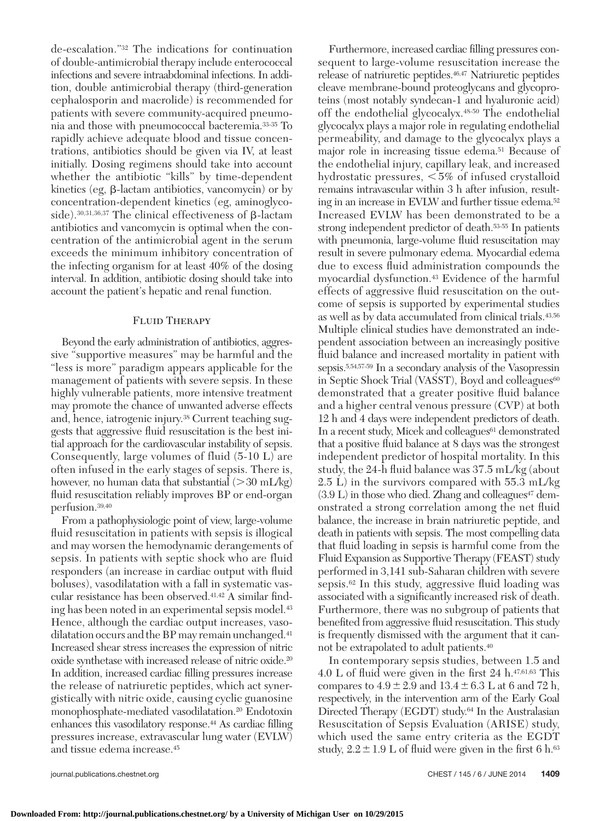de-escalation."<sup>32</sup> The indications for continuation of double-antimicrobial therapy include enterococcal infections and severe intraabdominal infections. In addition, double antimicrobial therapy (third-generation cephalosporin and macrolide) is recommended for patients with severe community-acquired pneumonia and those with pneumococcal bacteremia. 33-35 To rapidly achieve adequate blood and tissue concentrations, antibiotics should be given via IV, at least initially. Dosing regimens should take into account whether the antibiotic "kills" by time-dependent kinetics (eg,  $\beta$ -lactam antibiotics, vancomycin) or by concentration-dependent kinetics (eg, aminoglycoside).  $^{30,31,36,37}$  The clinical effectiveness of  $\beta$  -lactam antibiotics and vancomycin is optimal when the concentration of the antimicrobial agent in the serum exceeds the minimum inhibitory concentration of the infecting organism for at least 40% of the dosing interval. In addition, antibiotic dosing should take into account the patient's hepatic and renal function.

# FLUID THERAPY

 Beyond the early administration of antibiotics, aggressive "supportive measures" may be harmful and the "less is more" paradigm appears applicable for the management of patients with severe sepsis. In these highly vulnerable patients, more intensive treatment may promote the chance of unwanted adverse effects and, hence, iatrogenic injury. 38 Current teaching suggests that aggressive fluid resuscitation is the best initial approach for the cardiovascular instability of sepsis. Consequently, large volumes of fluid  $(5-10 L)$  are often infused in the early stages of sepsis. There is, however, no human data that substantial  $(>30 \text{ mL/kg})$ fluid resuscitation reliably improves BP or end-organ perfusion.<sup>39,40</sup>

 From a pathophysiologic point of view, large-volume fluid resuscitation in patients with sepsis is illogical and may worsen the hemodynamic derangements of sepsis. In patients with septic shock who are fluid responders (an increase in cardiac output with fluid boluses), vasodilatation with a fall in systematic vascular resistance has been observed.<sup>41,42</sup> A similar finding has been noted in an experimental sepsis model. 43 Hence, although the cardiac output increases, vasodilatation occurs and the BP may remain unchanged.<sup>41</sup> Increased shear stress increases the expression of nitric oxide synthetase with increased release of nitric oxide. 20 In addition, increased cardiac filling pressures increase the release of natriuretic peptides, which act synergistically with nitric oxide, causing cyclic guanosine monophosphate-mediated vasodilatation.<sup>20</sup> Endotoxin enhances this vasodilatory response.<sup>44</sup> As cardiac filling pressures increase, extravascular lung water (EVLW) and tissue edema increase. 45

Furthermore, increased cardiac filling pressures consequent to large-volume resuscitation increase the release of natriuretic peptides.<sup>46,47</sup> Natriuretic peptides cleave membrane-bound proteoglycans and glycoproteins (most notably syndecan-1 and hyaluronic acid) off the endothelial glycocalyx.<sup>48-50</sup> The endothelial glycocalyx plays a major role in regulating endothelial permeability, and damage to the glycocalyx plays a major role in increasing tissue edema.<sup>51</sup> Because of the endothelial injury, capillary leak, and increased hydrostatic pressures,  $< 5\%$  of infused crystalloid remains intravascular within 3 h after infusion, resulting in an increase in EVLW and further tissue edema. 52 Increased EVLW has been demonstrated to be a strong independent predictor of death.<sup>53-55</sup> In patients with pneumonia, large-volume fluid resuscitation may result in severe pulmonary edema. Myocardial edema due to excess fluid administration compounds the myocardial dysfunction. 43 Evidence of the harmful effects of aggressive fluid resuscitation on the outcome of sepsis is supported by experimental studies as well as by data accumulated from clinical trials.<sup>43,56</sup> Multiple clinical studies have demonstrated an independent association between an increasingly positive fluid balance and increased mortality in patient with sepsis.<sup>5,54,57-59</sup> In a secondary analysis of the Vasopressin in Septic Shock Trial (VASST), Boyd and colleagues<sup>60</sup> demonstrated that a greater positive fluid balance and a higher central venous pressure (CVP) at both 12 h and 4 days were independent predictors of death. In a recent study, Micek and colleagues<sup>61</sup> demonstrated that a positive fluid balance at 8 days was the strongest independent predictor of hospital mortality. In this study, the 24-h fluid balance was  $37.5 \text{ mL/kg}$  (about 2.5 L) in the survivors compared with 55.3 mL/kg  $(3.9 \text{ L})$  in those who died. Zhang and colleagues<sup>47</sup> demonstrated a strong correlation among the net fluid balance, the increase in brain natriuretic peptide, and death in patients with sepsis. The most compelling data that fluid loading in sepsis is harmful come from the Fluid Expansion as Supportive Therapy (FEAST) study performed in 3,141 sub-Saharan children with severe sepsis. $62$  In this study, aggressive fluid loading was associated with a significantly increased risk of death. Furthermore, there was no subgroup of patients that benefited from aggressive fluid resuscitation. This study is frequently dismissed with the argument that it cannot be extrapolated to adult patients.<sup>40</sup>

 In contemporary sepsis studies, between 1.5 and 4.0 L of fluid were given in the first 24 h. $47,61,63$  This compares to  $4.9 \pm 2.9$  and  $13.4 \pm 6.3$  L at 6 and 72 h, respectively, in the intervention arm of the Early Goal Directed Therapy (EGDT) study.<sup>64</sup> In the Australasian Resuscitation of Sepsis Evaluation (ARISE) study, which used the same entry criteria as the EGDT study,  $2.2 \pm 1.9$  L of fluid were given in the first 6 h.<sup>63</sup>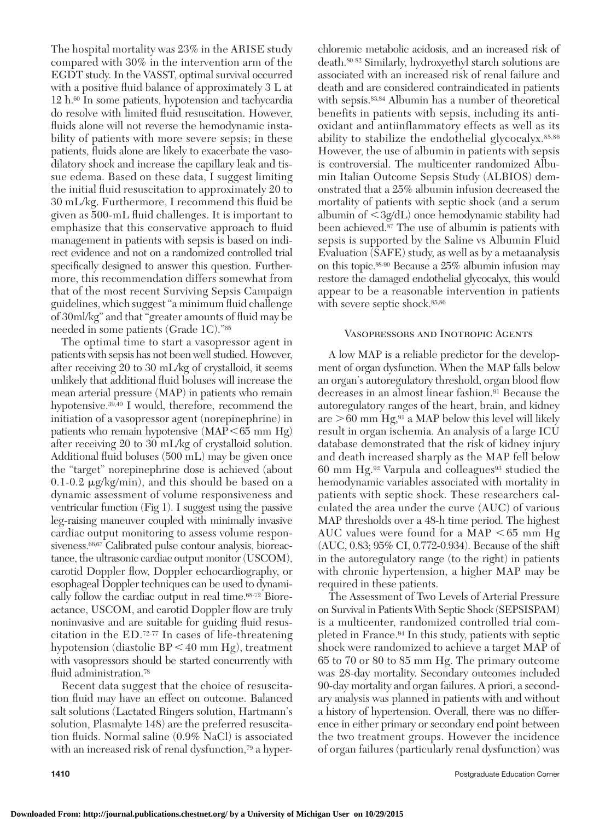The hospital mortality was 23% in the ARISE study compared with 30% in the intervention arm of the EGDT study. In the VASST, optimal survival occurred with a positive fluid balance of approximately 3 L at 12 h. 60 In some patients, hypotension and tachycardia do resolve with limited fluid resuscitation. However, fluids alone will not reverse the hemodynamic instability of patients with more severe sepsis; in these patients, fluids alone are likely to exacerbate the vasodilatory shock and increase the capillary leak and tissue edema. Based on these data, I suggest limiting the initial fluid resuscitation to approximately 20 to  $30 \text{ mL/kg}$ . Furthermore, I recommend this fluid be given as 500-mL fluid challenges. It is important to emphasize that this conservative approach to fluid management in patients with sepsis is based on indirect evidence and not on a randomized controlled trial specifically designed to answer this question. Furthermore, this recommendation differs somewhat from that of the most recent Surviving Sepsis Campaign guidelines, which suggest "a minimum fluid challenge of 30ml/kg" and that "greater amounts of fluid may be needed in some patients (Grade 1C)."<sup>65</sup>

 The optimal time to start a vasopressor agent in patients with sepsis has not been well studied. However, after receiving 20 to 30 mL/kg of crystalloid, it seems unlikely that additional fluid boluses will increase the mean arterial pressure (MAP) in patients who remain hypotensive.<sup>39,40</sup> I would, therefore, recommend the initiation of a vasopressor agent (norepinephrine) in patients who remain hypotensive  $(MAP < 65$  mm Hg) after receiving 20 to 30 mL/kg of crystalloid solution. Additional fluid boluses  $(500 \text{ mL})$  may be given once the "target" norepinephrine dose is achieved (about  $0.1$ -0.2  $\mu$ g/kg/min), and this should be based on a dynamic assessment of volume responsiveness and ventricular function  $(Fig 1)$ . I suggest using the passive leg-raising maneuver coupled with minimally invasive cardiac output monitoring to assess volume responsiveness.<sup>66,67</sup> Calibrated pulse contour analysis, bioreactance, the ultrasonic cardiac output monitor (USCOM), carotid Doppler flow, Doppler echocardiography, or esophageal Doppler techniques can be used to dynamically follow the cardiac output in real time. 68-72 Bioreactance, USCOM, and carotid Doppler flow are truly noninvasive and are suitable for guiding fluid resuscitation in the ED. $72-77$  In cases of life-threatening hypotension (diastolic  $BP < 40$  mm Hg), treatment with vasopressors should be started concurrently with fluid administration.<sup>78</sup>

 Recent data suggest that the choice of resuscitation fluid may have an effect on outcome. Balanced salt solutions (Lactated Ringers solution, Hartmann's solution, Plasmalyte 148) are the preferred resuscitation fl uids. Normal saline (0.9% NaCl) is associated with an increased risk of renal dysfunction,<sup>79</sup> a hyperchloremic metabolic acidosis, and an increased risk of death. 80-82 Similarly, hydroxyethyl starch solutions are associated with an increased risk of renal failure and death and are considered contraindicated in patients with sepsis.  $83, 84$  Albumin has a number of theoretical benefits in patients with sepsis, including its antioxidant and antiinflammatory effects as well as its ability to stabilize the endothelial glycocalyx.<sup>85,86</sup> However, the use of albumin in patients with sepsis is controversial. The multicenter randomized Albumin Italian Outcome Sepsis Study (ALBIOS) demonstrated that a 25% albumin infusion decreased the mortality of patients with septic shock (and a serum albumin of  $\langle 3g/dL \rangle$  once hemodynamic stability had been achieved.<sup>87</sup> The use of albumin is patients with sepsis is supported by the Saline vs Albumin Fluid Evaluation (SAFE) study, as well as by a metaanalysis on this topic.  $88-90$  Because a 25% albumin infusion may restore the damaged endothelial glycocalyx, this would appear to be a reasonable intervention in patients with severe septic shock.  $85,86$ 

#### Vasopressors and Inotropic Agents

 A low MAP is a reliable predictor for the development of organ dysfunction. When the MAP falls below an organ's autoregulatory threshold, organ blood flow decreases in an almost linear fashion. 91 Because the autoregulatory ranges of the heart, brain, and kidney are  $>60$  mm Hg,<sup>91</sup> a MAP below this level will likely result in organ ischemia. An analysis of a large ICU database demonstrated that the risk of kidney injury and death increased sharply as the MAP fell below 60 mm Hg.<sup>92</sup> Varpula and colleagues<sup>93</sup> studied the hemodynamic variables associated with mortality in patients with septic shock. These researchers calculated the area under the curve (AUC) of various MAP thresholds over a 48-h time period. The highest AUC values were found for a MAP  $\leq 65$  mm Hg (AUC, 0.83; 95% CI, 0.772-0.934). Because of the shift in the autoregulatory range (to the right) in patients with chronic hypertension, a higher MAP may be required in these patients.

 The Assessment of Two Levels of Arterial Pressure on Survival in Patients With Septic Shock (SEPSISPAM) is a multicenter, randomized controlled trial completed in France.<sup>94</sup> In this study, patients with septic shock were randomized to achieve a target MAP of 65 to 70 or 80 to 85 mm Hg. The primary outcome was 28-day mortality. Secondary outcomes included 90-day mortality and organ failures. A priori, a secondary analysis was planned in patients with and without a history of hypertension. Overall, there was no difference in either primary or secondary end point between the two treatment groups. However the incidence of organ failures (particularly renal dysfunction) was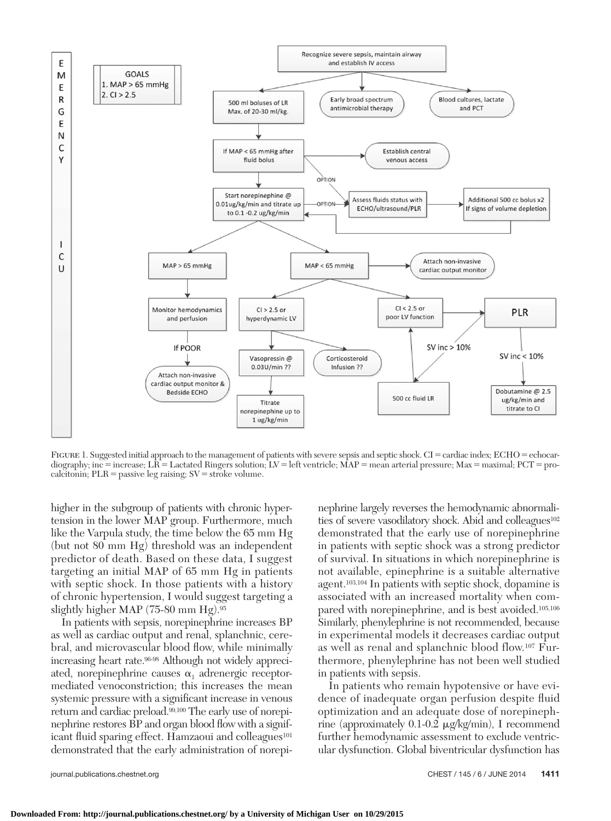

FIGURE 1. Suggested initial approach to the management of patients with severe sepsis and septic shock. CI = cardiac index; ECHO = echocardiography; inc = increase; LR = Lactated Ringers solution; LV = left ventricle; MAP = mean arterial pressure; Max = maximal; PCT = procalcitonin;  $PLR =$  passive leg raising;  $SV =$  stroke volume.

higher in the subgroup of patients with chronic hypertension in the lower MAP group. Furthermore, much like the Varpula study, the time below the 65 mm Hg (but not 80 mm Hg) threshold was an independent predictor of death. Based on these data, I suggest targeting an initial MAP of 65 mm Hg in patients with septic shock. In those patients with a history of chronic hypertension, I would suggest targeting a slightly higher MAP (75-80 mm Hg). 95

 In patients with sepsis, norepinephrine increases BP as well as cardiac output and renal, splanchnic, cerebral, and microvascular blood flow, while minimally increasing heart rate.<sup>96-98</sup> Although not widely appreciated, norepinephrine causes  $\alpha_1$  adrenergic receptormediated venoconstriction; this increases the mean systemic pressure with a significant increase in venous return and cardiac preload.<sup>99,100</sup> The early use of norepinephrine restores BP and organ blood flow with a significant fluid sparing effect. Hamzaoui and colleagues<sup>101</sup> demonstrated that the early administration of norepinephrine largely reverses the hemodynamic abnormalities of severe vasodilatory shock. Abid and colleagues<sup>102</sup> demonstrated that the early use of norepinephrine in patients with septic shock was a strong predictor of survival. In situations in which norepinephrine is not available, epinephrine is a suitable alternative agent.<sup>103,104</sup> In patients with septic shock, dopamine is associated with an increased mortality when compared with norepinephrine, and is best avoided.<sup>105,106</sup> Similarly, phenylephrine is not recommended, because in experimental models it decreases cardiac output as well as renal and splanchnic blood flow. 107 Furthermore, phenylephrine has not been well studied in patients with sepsis.

 In patients who remain hypotensive or have evidence of inadequate organ perfusion despite fluid optimization and an adequate dose of norepinephrine (approximately  $0.1$ -0.2  $\mu$ g/kg/min), I recommend further hemodynamic assessment to exclude ventricular dysfunction. Global biventricular dysfunction has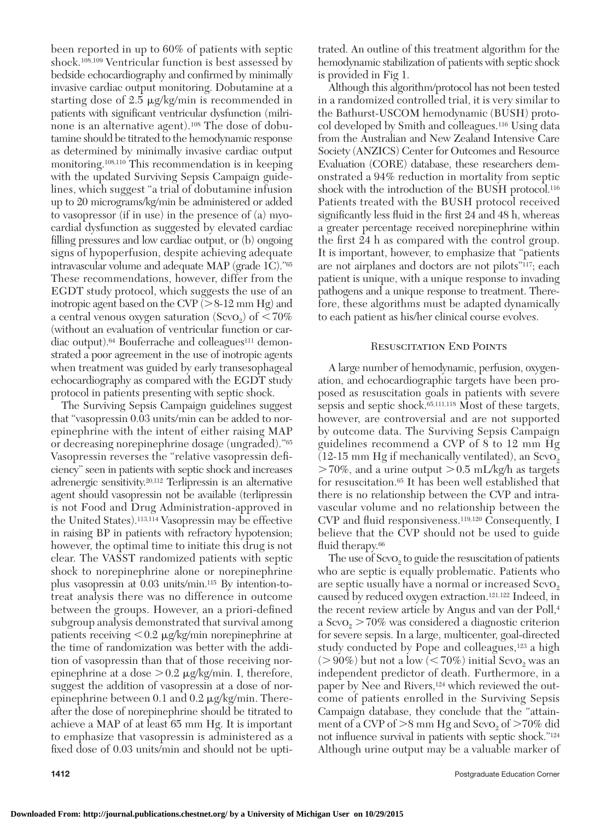been reported in up to 60% of patients with septic shock.<sup>108,109</sup> Ventricular function is best assessed by bedside echocardiography and confirmed by minimally invasive cardiac output monitoring. Dobutamine at a starting dose of 2.5  $\mu$ g/kg/min is recommended in patients with significant ventricular dysfunction (milrinone is an alternative agent).<sup>108</sup> The dose of dobutamine should be titrated to the hemodynamic response as determined by minimally invasive cardiac output monitoring.<sup>108,110</sup> This recommendation is in keeping with the updated Surviving Sepsis Campaign guidelines, which suggest "a trial of dobutamine infusion up to 20 micrograms/kg/min be administered or added to vasopressor (if in use) in the presence of (a) myocardial dysfunction as suggested by elevated cardiac filling pressures and low cardiac output, or  $(b)$  ongoing signs of hypoperfusion, despite achieving adequate intravascular volume and adequate MAP (grade 1C)." 65 These recommendations, however, differ from the EGDT study protocol, which suggests the use of an inotropic agent based on the CVP  $(> 8-12 \text{ mm Hg})$  and a central venous oxygen saturation  $(Sevo<sub>2</sub>)$  of  $\leq 70\%$ (without an evaluation of ventricular function or cardiac output).<sup>64</sup> Bouferrache and colleagues<sup>111</sup> demonstrated a poor agreement in the use of inotropic agents when treatment was guided by early transesophageal echocardiography as compared with the EGDT study protocol in patients presenting with septic shock.

 The Surviving Sepsis Campaign guidelines suggest that "vasopressin 0.03 units/min can be added to norepinephrine with the intent of either raising MAP or decreasing norepinephrine dosage (ungraded)."<sup>65</sup> Vasopressin reverses the "relative vasopressin deficiency" seen in patients with septic shock and increases adrenergic sensitivity.<sup>20,112</sup> Terlipressin is an alternative agent should vasopressin not be available (terlipressin is not Food and Drug Administration-approved in the United States).<sup>113,114</sup> Vasopressin may be effective in raising BP in patients with refractory hypotension; however, the optimal time to initiate this drug is not clear. The VASST randomized patients with septic shock to norepinephrine alone or norepinephrine plus vasopressin at 0.03 units/min. 115 By intention-totreat analysis there was no difference in outcome between the groups. However, an a priori-defined subgroup analysis demonstrated that survival among patients receiving  $< 0.2 \mu$ g/kg/min norepinephrine at the time of randomization was better with the addition of vasopressin than that of those receiving norepinephrine at a dose  $> 0.2 \mu g/kg/min$ . I, therefore, suggest the addition of vasopressin at a dose of norepinephrine between  $0.1$  and  $0.2 \mu$  g/kg/min. Thereafter the dose of norepinephrine should be titrated to achieve a MAP of at least 65 mm Hg. It is important to emphasize that vasopressin is administered as a fixed dose of 0.03 units/min and should not be uptitrated. An outline of this treatment algorithm for the hemodynamic stabilization of patients with septic shock is provided in Fig 1 .

 Although this algorithm/protocol has not been tested in a randomized controlled trial, it is very similar to the Bathurst-USCOM hemodynamic (BUSH) protocol developed by Smith and colleagues. 116 Using data from the Australian and New Zealand Intensive Care Society (ANZICS) Center for Outcomes and Resource Evaluation (CORE) database, these researchers demonstrated a 94% reduction in mortality from septic shock with the introduction of the BUSH protocol.<sup>116</sup> Patients treated with the BUSH protocol received significantly less fluid in the first 24 and 48 h, whereas a greater percentage received norepinephrine within the first 24 h as compared with the control group. It is important, however, to emphasize that "patients are not airplanes and doctors are not pilots"<sup>117</sup>; each patient is unique, with a unique response to invading pathogens and a unique response to treatment. Therefore, these algorithms must be adapted dynamically to each patient as his/her clinical course evolves.

#### RESUSCITATION END POINTS

 A large number of hemodynamic, perfusion, oxygenation, and echocardiographic targets have been proposed as resuscitation goals in patients with severe sepsis and septic shock.<sup>65,111,118</sup> Most of these targets, however, are controversial and are not supported by outcome data. The Surviving Sepsis Campaign guidelines recommend a CVP of 8 to 12 mm Hg  $(12-15 \text{ mm Hg if mechanically ventilated}),$  an ScvO<sub>2</sub>  $> 70\%$ , and a urine output  $> 0.5$  mL/kg/h as targets for resuscitation. 65 It has been well established that there is no relationship between the CVP and intravascular volume and no relationship between the CVP and fluid responsiveness.<sup>119,120</sup> Consequently, I believe that the CVP should not be used to guide fluid therapy.<sup>66</sup>

The use of  $Scvo<sub>2</sub>$  to guide the resuscitation of patients who are septic is equally problematic. Patients who are septic usually have a normal or increased  $S\text{evo}_2$ caused by reduced oxygen extraction.<sup>121,122</sup> Indeed, in the recent review article by Angus and van der Poll,<sup>4</sup> a  $S\text{evo}_2 > 70\%$  was considered a diagnostic criterion for severe sepsis. In a large, multicenter, goal-directed study conducted by Pope and colleagues,<sup>123</sup> a high  $( > 90\%)$  but not a low  $(< 70\%)$  initial ScvO<sub>2</sub> was an independent predictor of death. Furthermore, in a paper by Nee and Rivers, 124 which reviewed the outcome of patients enrolled in the Surviving Sepsis Campaign database, they conclude that the "attainment of a CVP of  $>8$  mm Hg and ScvO<sub>2</sub> of  $>70\%$  did not influence survival in patients with septic shock."<sup>124</sup> Although urine output may be a valuable marker of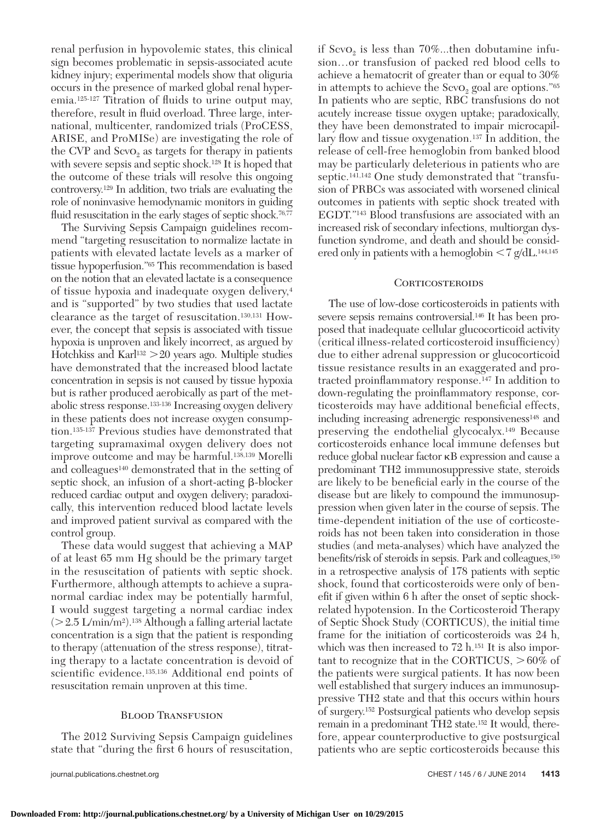renal perfusion in hypovolemic states, this clinical sign becomes problematic in sepsis-associated acute kidney injury; experimental models show that oliguria occurs in the presence of marked global renal hyperemia.<sup>125-127</sup> Titration of fluids to urine output may, therefore, result in fluid overload. Three large, international, multicenter, randomized trials (ProCESS, ARISE, and ProMISe) are investigating the role of the CVP and  $S\text{evo}_2$  as targets for therapy in patients with severe sepsis and septic shock.<sup>128</sup> It is hoped that the outcome of these trials will resolve this ongoing controversy. 129 In addition, two trials are evaluating the role of noninvasive hemodynamic monitors in guiding fluid resuscitation in the early stages of septic shock.<sup>76,77</sup>

 The Surviving Sepsis Campaign guidelines recommend "targeting resuscitation to normalize lactate in patients with elevated lactate levels as a marker of tissue hypoperfusion."<sup>65</sup> This recommendation is based on the notion that an elevated lactate is a consequence of tissue hypoxia and inadequate oxygen delivery, 4 and is "supported" by two studies that used lactate clearance as the target of resuscitation.<sup>130,131</sup> However, the concept that sepsis is associated with tissue hypoxia is unproven and likely incorrect, as argued by Hotchkiss and Karl<sup>132</sup>  $>$  20 years ago. Multiple studies have demonstrated that the increased blood lactate concentration in sepsis is not caused by tissue hypoxia but is rather produced aerobically as part of the metabolic stress response.<sup>133-136</sup> Increasing oxygen delivery in these patients does not increase oxygen consumption.<sup>135-137</sup> Previous studies have demonstrated that targeting supramaximal oxygen delivery does not improve outcome and may be harmful.<sup>138,139</sup> Morelli and colleagues 140 demonstrated that in the setting of septic shock, an infusion of a short-acting  $\beta$ -blocker reduced cardiac output and oxygen delivery; paradoxically, this intervention reduced blood lactate levels and improved patient survival as compared with the control group.

 These data would suggest that achieving a MAP of at least 65 mm Hg should be the primary target in the resuscitation of patients with septic shock. Furthermore, although attempts to achieve a supranormal cardiac index may be potentially harmful, I would suggest targeting a normal cardiac index  $($  > 2.5 L/min/m<sup>2</sup> $)$ .<sup>138</sup> Although a falling arterial lactate concentration is a sign that the patient is responding to therapy (attenuation of the stress response), titrating therapy to a lactate concentration is devoid of scientific evidence.<sup>135,136</sup> Additional end points of resuscitation remain unproven at this time.

#### **BLOOD TRANSFUSION**

 The 2012 Surviving Sepsis Campaign guidelines state that "during the first 6 hours of resuscitation,

if  $S\text{evo}_2$  is less than 70%...then dobutamine infusion…or transfusion of packed red blood cells to achieve a hematocrit of greater than or equal to 30% in attempts to achieve the  $S\text{evo}_2$  goal are options." 65 In patients who are septic, RBC transfusions do not acutely increase tissue oxygen uptake; paradoxically, they have been demonstrated to impair microcapillary flow and tissue oxygenation.<sup>137</sup> In addition, the release of cell-free hemoglobin from banked blood may be particularly deleterious in patients who are septic.<sup>141,142</sup> One study demonstrated that "transfusion of PRBCs was associated with worsened clinical outcomes in patients with septic shock treated with EGDT."143 Blood transfusions are associated with an increased risk of secondary infections, multiorgan dysfunction syndrome, and death and should be considered only in patients with a hemoglobin  $< 7$  g/dL. <sup>144,145</sup>

#### **CORTICOSTEROIDS**

 The use of low-dose corticosteroids in patients with severe sepsis remains controversial. 146 It has been proposed that inadequate cellular glucocorticoid activity (critical illness-related corticosteroid insufficiency) due to either adrenal suppression or glucocorticoid tissue resistance results in an exaggerated and protracted proinflammatory response.<sup>147</sup> In addition to down-regulating the proinflammatory response, corticosteroids may have additional beneficial effects, including increasing adrenergic responsiveness<sup>148</sup> and preserving the endothelial glycocalyx. 149 Because corticosteroids enhance local immune defenses but reduce global nuclear factor  $\kappa$ B expression and cause a predominant TH2 immunosuppressive state, steroids are likely to be beneficial early in the course of the disease but are likely to compound the immunosuppression when given later in the course of sepsis. The time-dependent initiation of the use of corticosteroids has not been taken into consideration in those studies (and meta-analyses) which have analyzed the benefits/risk of steroids in sepsis. Park and colleagues,  $150$ in a retrospective analysis of 178 patients with septic shock, found that corticosteroids were only of benefit if given within 6 h after the onset of septic shockrelated hypotension. In the Corticosteroid Therapy of Septic Shock Study (CORTICUS), the initial time frame for the initiation of corticosteroids was 24 h, which was then increased to  $72 \text{ h}$ .<sup>151</sup> It is also important to recognize that in the CORTICUS,  $>60\%$  of the patients were surgical patients. It has now been well established that surgery induces an immunosuppressive TH2 state and that this occurs within hours of surgery. 152 Postsurgical patients who develop sepsis remain in a predominant TH2 state. 152 It would, therefore, appear counterproductive to give postsurgical patients who are septic corticosteroids because this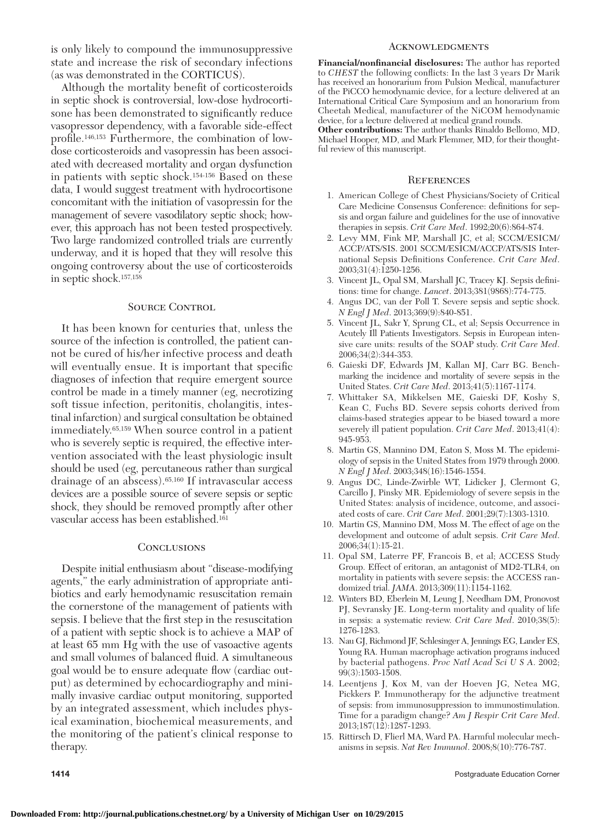is only likely to compound the immunosuppressive state and increase the risk of secondary infections (as was demonstrated in the CORTICUS).

Although the mortality benefit of corticosteroids in septic shock is controversial, low-dose hydrocortisone has been demonstrated to significantly reduce vasopressor dependency, with a favorable side-effect profile.<sup>146,153</sup> Furthermore, the combination of lowdose corticosteroids and vasopressin has been associated with decreased mortality and organ dysfunction in patients with septic shock.<sup>154-156</sup> Based on these data, I would suggest treatment with hydrocortisone concomitant with the initiation of vasopressin for the management of severe vasodilatory septic shock; however, this approach has not been tested prospectively. Two large randomized controlled trials are currently underway, and it is hoped that they will resolve this ongoing controversy about the use of corticosteroids in septic shock.<sup>157,158</sup>

# SOURCE CONTROL

 It has been known for centuries that, unless the source of the infection is controlled, the patient cannot be cured of his/her infective process and death will eventually ensue. It is important that specific diagnoses of infection that require emergent source control be made in a timely manner (eg, necrotizing soft tissue infection, peritonitis, cholangitis, intestinal infarction) and surgical consultation be obtained immediately.<sup>65,159</sup> When source control in a patient who is severely septic is required, the effective intervention associated with the least physiologic insult should be used (eg, percutaneous rather than surgical drainage of an abscess).  $65,160$  If intravascular access devices are a possible source of severe sepsis or septic shock, they should be removed promptly after other vascular access has been established. 161

### **CONCLUSIONS**

 Despite initial enthusiasm about "disease-modifying agents," the early administration of appropriate antibiotics and early hemodynamic resuscitation remain the cornerstone of the management of patients with sepsis. I believe that the first step in the resuscitation of a patient with septic shock is to achieve a MAP of at least 65 mm Hg with the use of vasoactive agents and small volumes of balanced fluid. A simultaneous goal would be to ensure adequate flow (cardiac output) as determined by echocardiography and minimally invasive cardiac output monitoring, supported by an integrated assessment, which includes physical examination, biochemical measurements, and the monitoring of the patient's clinical response to therapy.

#### **ACKNOWLEDGMENTS**

Financial/nonfinancial disclosures: The author has reported to *CHEST* the following conflicts: In the last 3 years Dr Marik has received an honorarium from Pulsion Medical, manufacturer of the PiCCO hemodynamic device, for a lecture delivered at an International Critical Care Symposium and an honorarium from Cheetah Medical, manufacturer of the NiCOM hemodynamic device, for a lecture delivered at medical grand rounds .

**Other contributions:** The author thanks Rinaldo Bellomo, MD, Michael Hooper, MD, and Mark Flemmer, MD, for their thoughtful review of this manuscript.

#### **REFERENCES**

- 1. American College of Chest Physicians/Society of Critical Care Medicine Consensus Conference: definitions for sepsis and organ failure and guidelines for the use of innovative therapies in sepsis. *Crit Care Med.* 1992;20(6):864-874.
- 2. Levy MM, Fink MP, Marshall JC, et al; SCCM/ESICM/ ACCP/ATS/SIS . 2001 SCCM/ESICM/ACCP/ATS/SIS International Sepsis Definitions Conference. Crit Care Med. 2003;31(4):1250-1256.
- 3. Vincent JL, Opal SM, Marshall JC, Tracey KJ. Sepsis definitions: time for change. *Lancet*. 2013;381(9868):774-775.
- 4. Angus DC, van der Poll T. Severe sepsis and septic shock. *N* Engl *J* Med. 2013;369(9):840-851.
- 5. Vincent JL, Sakr Y, Sprung CL, et al; Sepsis Occurrence in Acutely Ill Patients Investigators . Sepsis in European intensive care units: results of the SOAP study . *Crit Care Med* . 2006;34(2):344-353.
- 6. Gaieski DF, Edwards JM, Kallan MJ, Carr BG. Benchmarking the incidence and mortality of severe sepsis in the United States. *Crit Care Med.* 2013;41(5):1167-1174.
- 7. Whittaker SA, Mikkelsen ME, Gaieski DF, Koshy S, Kean C, Fuchs BD. Severe sepsis cohorts derived from claims-based strategies appear to be biased toward a more severely ill patient population. *Crit Care Med.* 2013;41(4): 945-953.
- 8. Martin GS, Mannino DM, Eaton S, Moss M. The epidemiology of sepsis in the United States from 1979 through 2000 . *N Engl J Med.* 2003;348(16):1546-1554.
- 9. Angus DC, Linde-Zwirble WT, Lidicker J, Clermont G, Carcillo J, Pinsky MR. Epidemiology of severe sepsis in the United States: analysis of incidence, outcome, and associated costs of care. *Crit Care Med.* 2001;29(7):1303-1310.
- 10. Martin GS, Mannino DM, Moss M. The effect of age on the development and outcome of adult sepsis. *Crit Care Med*. 2006;34(1):15-21.
- 11. Opal SM, Laterre PF, Francois B, et al; ACCESS Study Group . Effect of eritoran, an antagonist of MD2-TLR4, on mortality in patients with severe sepsis: the ACCESS randomized trial. *JAMA*. 2013;309(11):1154-1162.
- 12. Winters BD, Eberlein M, Leung J, Needham DM, Pronovost PJ, Sevransky JE. Long-term mortality and quality of life in sepsis: a systematic review. *Crit Care Med*. 2010;38(5): 1276 - 1283 .
- 13. Nau GJ, Richmond JF, Schlesinger A, Jennings EG, Lander ES, Young RA . Human macrophage activation programs induced by bacterial pathogens . *Proc Natl Acad Sci U S A* . 2002 ; 99(3):1503-1508.
- 14. Leentjens J, Kox M, van der Hoeven JG, Netea MG, Pickkers P. Immunotherapy for the adjunctive treatment of sepsis: from immunosuppression to immunostimulation. Time for a paradigm change? *Am J Respir Crit Care Med* . 2013;187(12):1287-1293.
- 15. Rittirsch D, Flierl MA, Ward PA. Harmful molecular mechanisms in sepsis. *Nat Rev Immunol*. 2008;8(10):776-787.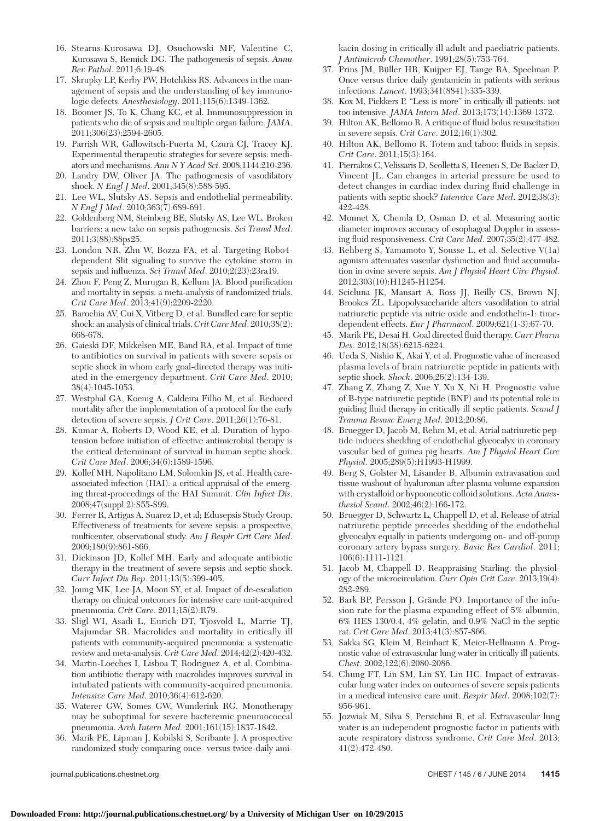- 16. Stearns-Kurosawa DJ, Osuchowski MF, Valentine C, Kurosawa S, Remick DG. The pathogenesis of sepsis. Annu *Rev Pathol*. 2011;6:19-48.
- 17. Skrupky LP, Kerby PW, Hotchkiss RS. Advances in the management of sepsis and the understanding of key immunologic defects. *Anesthesiology*. 2011;115(6):1349-1362.
- 18. Boomer JS, To K, Chang KC, et al. Immunosuppression in patients who die of sepsis and multiple organ failure . *JAMA* . 2011;306(23):2594-2605.
- 19. Parrish WR, Gallowitsch-Puerta M, Czura CJ, Tracey KJ. Experimental therapeutic strategies for severe sepsis: mediators and mechanisms. Ann N Y Acad Sci. 2008;1144:210-236.
- 20. Landry DW, Oliver JA. The pathogenesis of vasodilatory shock. *N Engl J Med.* 2001;345(8):588-595.
- 21. Lee WL, Slutsky AS. Sepsis and endothelial permeability. *N Engl J Med.* 2010;363(7):689-691.
- 22. Goldenberg NM , Steinberg BE , Slutsky AS , Lee WL . Broken barriers: a new take on sepsis pathogenesis . *Sci Transl Med* . 2011;3(88):88ps25.
- 23. London NR, Zhu W, Bozza FA, et al. Targeting Robo4dependent Slit signaling to survive the cytokine storm in sepsis and influenza. *Sci Transl Med.* 2010;2(23):23ra19.
- 24. Zhou F, Peng Z, Murugan R, Kellum JA. Blood purification and mortality in sepsis: a meta-analysis of randomized trials . *Crit Care Med.* 2013;41(9):2209-2220.
- 25. Barochia AV, Cui X, Vitberg D, et al. Bundled care for septic shock: an analysis of clinical trials. *Crit Care Med*. 2010;38(2): 668-678.
- 26. Gaieski DF, Mikkelsen ME, Band RA, et al. Impact of time to antibiotics on survival in patients with severe sepsis or septic shock in whom early goal-directed therapy was initiated in the emergency department. *Crit Care Med.* 2010; 38(4):1045-1053.
- 27. Westphal GA, Koenig A, Caldeira Filho M, et al. Reduced mortality after the implementation of a protocol for the early detection of severe sepsis. *J Crit Care*. 2011;26(1):76-81.
- 28. Kumar A, Roberts D, Wood KE, et al. Duration of hypotension before initiation of effective antimicrobial therapy is the critical determinant of survival in human septic shock . *Crit Care Med.* 2006;34(6):1589-1596.
- 29. Kollef MH , Napolitano LM , Solomkin JS , et al . Health careassociated infection (HAI): a critical appraisal of the emerging threat-proceedings of the HAI Summit . *Clin Infect Dis* . 2008;47(suppl 2):S55-S99.
- 30. Ferrer R, Artigas A, Suarez D, et al; Edusepsis Study Group. Effectiveness of treatments for severe sepsis: a prospective, multicenter, observational study . *Am J Respir Crit Care Med* . 2009;180(9):861-866.
- 31. Dickinson JD, Kollef MH. Early and adequate antibiotic therapy in the treatment of severe sepsis and septic shock . *Curr Infect Dis Rep.* 2011;13(5):399-405.
- 32. Joung MK, Lee JA, Moon SY, et al. Impact of de-escalation therapy on clinical outcomes for intensive care unit-acquired pneumonia. *Crit Care*. 2011;15(2):R79.
- 33. Sligl WI, Asadi L, Eurich DT, Tjosvold L, Marrie TJ, Majumdar SR . Macrolides and mortality in critically ill patients with community-acquired pneumonia: a systematic review and meta-analysis. *Crit Care Med.* 2014;42(2):420-432.
- 34. Martin-Loeches I, Lisboa T, Rodriguez A, et al. Combination antibiotic therapy with macrolides improves survival in intubated patients with community-acquired pneumonia . *Intensive Care Med.* 2010;36(4):612-620.
- 35. Waterer GW, Somes GW, Wunderink RG. Monotherapy may be suboptimal for severe bacteremic pneumococcal pneumonia. *Arch Intern Med.* 2001;161(15):1837-1842.
- 36. Marik PE, Lipman J, Kobilski S, Scribante J. A prospective randomized study comparing once- versus twice-daily ami-

kacin dosing in critically ill adult and paediatric patients . *J Antimicrob Chemother*. 1991;28(5):753-764.

- 37. Prins JM, Büller HR, Kuijper EJ, Tange RA, Speelman P. Once versus thrice daily gentamicin in patients with serious infections. *Lancet*. 1993;341(8841):335-339.
- 38. Kox M, Pickkers P. "Less is more" in critically ill patients: not too intensive. *JAMA Intern Med.* 2013;173(14):1369-1372.
- 39. Hilton AK, Bellomo R. A critique of fluid bolus resuscitation in severe sepsis. *Crit Care*. 2012;16(1):302.
- 40. Hilton AK, Bellomo R. Totem and taboo: fluids in sepsis. *Crit Care.* 2011;15(3):164.
- 41. Pierrakos C, Velissaris D, Scolletta S, Heenen S, De Backer D, Vincent JL . Can changes in arterial pressure be used to detect changes in cardiac index during fluid challenge in patients with septic shock? *Intensive Care Med.* 2012;38(3): 422-428.
- 42. Monnet X, Chemla D, Osman D, et al. Measuring aortic diameter improves accuracy of esophageal Doppler in assessing fluid responsiveness. *Crit Care Med.* 2007;35(2):477-482.
- 43. Rehberg S, Yamamoto Y, Sousse L, et al. Selective V(1a) agonism attenuates vascular dysfunction and fluid accumulation in ovine severe sepsis . *Am J Physiol Heart Circ Physiol* . 2012;303(10):H1245-H1254.
- 44. Scicluna JK, Mansart A, Ross JJ, Reilly CS, Brown NJ, Brookes ZL . Lipopolysaccharide alters vasodilation to atrial natriuretic peptide via nitric oxide and endothelin-1: timedependent effects. *Eur J Pharmacol*. 2009;621(1-3):67-70.
- 45. Marik PE, Desai H. Goal directed fluid therapy. *Curr Pharm Des.* 2012;18(38):6215-6224.
- 46. Ueda S, Nishio K, Akai Y, et al. Prognostic value of increased plasma levels of brain natriuretic peptide in patients with septic shock. Shock. 2006;26(2):134-139.
- 47. Zhang Z, Zhang Z, Xue Y, Xu X, Ni H. Prognostic value of B-type natriuretic peptide (BNP) and its potential role in guiding fluid therapy in critically ill septic patients. *Scand J Trauma Resusc Emerg Med* . 2012 ; 20 : 86 .
- 48. Bruegger D, Jacob M, Rehm M, et al. Atrial natriuretic peptide induces shedding of endothelial glycocalyx in coronary vascular bed of guinea pig hearts . *Am J Physiol Heart Circ Physiol.* 2005;289(5):H1993-H1999.
- 49. Berg S, Golster M, Lisander B. Albumin extravasation and tissue washout of hyaluronan after plasma volume expansion with crystalloid or hypooncotic colloid solutions . *Acta Anaesthesiol Scand.* 2002;46(2):166-172.
- 50. Bruegger D, Schwartz L, Chappell D, et al. Release of atrial natriuretic peptide precedes shedding of the endothelial glycocalyx equally in patients undergoing on- and off-pump coronary artery bypass surgery . *Basic Res Cardiol* . 2011 ; 106(6):1111-1121.
- 51. Jacob M, Chappell D. Reappraising Starling: the physiology of the microcirculation . *Curr Opin Crit Care* . 2013 ; 19 ( 4 ): 282-289.
- 52. Bark BP, Persson J, Grände PO. Importance of the infusion rate for the plasma expanding effect of 5% albumin, 6% HES 130/0.4, 4% gelatin, and 0.9% NaCl in the septic rat. *Crit Care Med.* 2013;41(3):857-866.
- 53. Sakka SG, Klein M, Reinhart K, Meier-Hellmann A. Prognostic value of extravascular lung water in critically ill patients . *Chest.* 2002;122(6):2080-2086.
- 54. Chung FT, Lin SM, Lin SY, Lin HC. Impact of extravascular lung water index on outcomes of severe sepsis patients in a medical intensive care unit. *Respir Med.* 2008;102(7): 956-961.
- 55. Jozwiak M, Silva S, Persichini R, et al. Extravascular lung water is an independent prognostic factor in patients with acute respiratory distress syndrome. *Crit Care Med.* 2013;  $41(2):472-480.$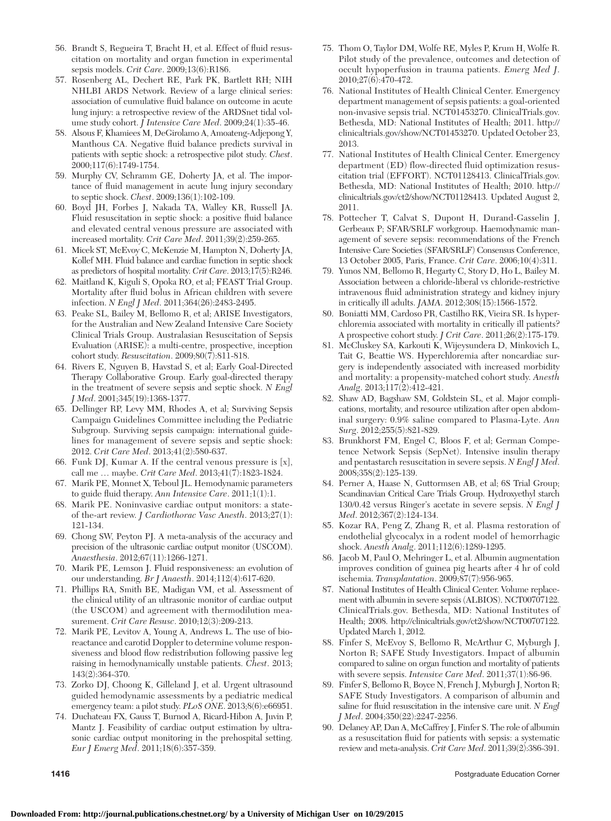- 56. Brandt S, Regueira T, Bracht H, et al. Effect of fluid resuscitation on mortality and organ function in experimental sepsis models. *Crit Care*. 2009;13(6):R186.
- 57. Rosenberg AL, Dechert RE, Park PK, Bartlett RH; NIH NHLBI ARDS Network . Review of a large clinical series: association of cumulative fluid balance on outcome in acute lung injury: a retrospective review of the ARDSnet tidal volume study cohort. *J Intensive Care Med.* 2009;24(1):35-46.
- 58. Alsous F, Khamiees M, DeGirolamo A, Amoateng-Adjepong Y, Manthous CA. Negative fluid balance predicts survival in patients with septic shock: a retrospective pilot study . *Chest* . 2000;117(6):1749-1754.
- 59. Murphy CV, Schramm GE, Doherty JA, et al. The importance of fluid management in acute lung injury secondary to septic shock. *Chest*. 2009;136(1):102-109.
- 60. Boyd JH, Forbes J, Nakada TA, Walley KR, Russell JA. Fluid resuscitation in septic shock: a positive fluid balance and elevated central venous pressure are associated with increased mortality. *Crit Care Med.* 2011;39(2):259-265
- 61. Micek ST, McEvoy C, McKenzie M, Hampton N, Doherty JA, Kollef MH. Fluid balance and cardiac function in septic shock as predictors of hospital mortality. *Crit Care*. 2013;17(5):R246.
- 62. Maitland K, Kiguli S, Opoka RO, et al; FEAST Trial Group. Mortality after fluid bolus in African children with severe infection. *N Engl J Med.* 2011;364(26):2483-2495.
- 63. Peake SL, Bailey M, Bellomo R, et al; ARISE Investigators, for the Australian and New Zealand Intensive Care Society Clinical Trials Group . Australasian Resuscitation of Sepsis Evaluation (ARISE): a multi-centre, prospective, inception cohort study. *Resuscitation*. 2009;80(7):811-818.
- 64. Rivers E, Nguyen B, Havstad S, et al; Early Goal-Directed Therapy Collaborative Group. Early goal-directed therapy in the treatment of severe sepsis and septic shock . *N Engl J Med* . 2001 ; 345 ( 19 ): 1368 - 1377 .
- 65. Dellinger RP, Levy MM, Rhodes A, et al; Surviving Sepsis Campaign Guidelines Committee including the Pediatric Subgroup. Surviving sepsis campaign: international guidelines for management of severe sepsis and septic shock: 2012. Crit Care Med. 2013;41(2):580-637.
- 66. Funk DJ, Kumar A. If the central venous pressure is  $[x]$ , call me ... maybe. *Crit Care Med*. 2013;41(7):1823-1824.
- 67. Marik PE, Monnet X, Teboul JL. Hemodynamic parameters to guide fluid therapy. Ann Intensive Care. 2011;1(1):1.
- 68. Marik PE . Noninvasive cardiac output monitors: a stateof the-art review. *J Cardiothorac Vasc Anesth*. 2013;27(1): 121 - 134 .
- 69. Chong SW , Peyton PJ . A meta-analysis of the accuracy and precision of the ultrasonic cardiac output monitor (USCOM) . *Anaesthesia* . 2012 ; 67 ( 11 ): 1266 - 1271 .
- 70. Marik PE, Lemson J. Fluid responsiveness: an evolution of our understanding. *Br J Anaesth*. 2014;112(4):617-620.
- 71. Phillips RA , Smith BE , Madigan VM , et al . Assessment of the clinical utility of an ultrasonic monitor of cardiac output (the USCOM) and agreement with thermodilution measurement. *Crit Care Resusc*. 2010;12(3):209-213.
- 72. Marik PE, Levitov A, Young A, Andrews L. The use of bioreactance and carotid Doppler to determine volume responsiveness and blood flow redistribution following passive leg raising in hemodynamically unstable patients. *Chest*. 2013; 143(2):364-370.
- 73. Zorko DJ, Choong K, Gilleland J, et al. Urgent ultrasound guided hemodynamic assessments by a pediatric medical emergency team: a pilot study. *PLoS ONE*. 2013;8(6):e66951.
- 74. Duchateau FX, Gauss T, Burnod A, Ricard-Hibon A, Juvin P, Mantz J. Feasibility of cardiac output estimation by ultrasonic cardiac output monitoring in the prehospital setting. *Eur J Emerg Med.* 2011;18(6):357-359.
- 75. Thom O, Taylor DM, Wolfe RE, Myles P, Krum H, Wolfe R. Pilot study of the prevalence, outcomes and detection of occult hypoperfusion in trauma patients . *Emerg Med J* . 2010;27(6):470-472.
- 76. National Institutes of Health Clinical Center. Emergency department management of sepsis patients: a goal-oriented non-invasive sepsis trial. NCT01453270. ClinicalTrials.gov . [Bethesda, MD: National Institutes of Health; 2011. http://](http://clinicaltrials.gov/show/NCT01453270) clinicaltrials.gov/show/NCT01453270 . Updated October 23, 2013.
- 77. National Institutes of Health Clinical Center. Emergency department (ED) flow-directed fluid optimization resuscitation trial (EFFORT). NCT01128413. ClinicalTrials.gov . [Bethesda, MD: National Institutes of Health; 2010. http://](http://clinicaltrials.gov/ct2/show/NCT01128413) clinicaltrials.gov/ct2/show/NCT01128413 . Updated August 2, 2011.
- 78. Pottecher T, Calvat S, Dupont H, Durand-Gasselin J, Gerbeaux P; SFAR/SRLF workgroup. Haemodynamic management of severe sepsis: recommendations of the French Intensive Care Societies (SFAR/SRLF) Consensus Conference, 13 October 2005, Paris, France. *Crit Care*. 2006;10(4):311.
- 79. Yunos NM, Bellomo R, Hegarty C, Story D, Ho L, Bailey M. Association between a chloride-liberal vs chloride-restrictive intravenous fluid administration strategy and kidney injury in critically ill adults. *JAMA*. 2012;308(15):1566-1572.
- 80. Boniatti MM, Cardoso PR, Castilho RK, Vieira SR. Is hyperchloremia associated with mortality in critically ill patients? A prospective cohort study. *J Crit Care*. 2011;26(2):175-179.
- 81. McCluskey SA, Karkouti K, Wijeysundera D, Minkovich L, Tait G, Beattie WS. Hyperchloremia after noncardiac surgery is independently associated with increased morbidity and mortality: a propensity-matched cohort study . *Anesth Analg.* 2013;117(2):412-421.
- 82. Shaw AD, Bagshaw SM, Goldstein SL, et al. Major complications, mortality, and resource utilization after open abdominal surgery: 0.9% saline compared to Plasma-Lyte . *Ann Surg*. 2012;255(5):821-829.
- 83. Brunkhorst FM, Engel C, Bloos F, et al; German Competence Network Sepsis (SepNet). Intensive insulin therapy and pentastarch resuscitation in severe sepsis . *N Engl J Med* . 2008;358(2):125-139.
- 84. Perner A, Haase N, Guttormsen AB, et al; 6S Trial Group; Scandinavian Critical Care Trials Group . Hydroxyethyl starch 130/0.42 versus Ringer's acetate in severe sepsis . *N Engl J Med.* 2012;367(2):124-134.
- 85. Kozar RA, Peng Z, Zhang R, et al. Plasma restoration of endothelial glycocalyx in a rodent model of hemorrhagic shock. *Anesth Analg.* 2011;112(6):1289-1295.
- 86. Jacob M, Paul O, Mehringer L, et al. Albumin augmentation improves condition of guinea pig hearts after 4 hr of cold ischemia. *Transplantation*. 2009;87(7):956-965.
- 87. National Institutes of Health Clinical Center. Volume replacement with albumin in severe sepsis (ALBIOS). NCT00707122. ClinicalTrials.gov . Bethesda, MD: National Institutes of Health; 2008. [http://clinicaltrials.gov/ct2/show/NCT00707122 .](http://clinicaltrials.gov/ct2/show/NCT00707122) Updated March 1, 2012.
- 88. Finfer S, McEvoy S, Bellomo R, McArthur C, Myburgh J, Norton R; SAFE Study Investigators. Impact of albumin compared to saline on organ function and mortality of patients with severe sepsis. *Intensive Care Med.* 2011;37(1):86-96.
- 89. Finfer S, Bellomo R, Boyce N, French J, Myburgh J, Norton R; SAFE Study Investigators . A comparison of albumin and saline for fluid resuscitation in the intensive care unit. *N Engl J Med.* 2004;350(22):2247-2256.
- 90. Delaney AP, Dan A, McCaffrey J, Finfer S. The role of albumin as a resuscitation fluid for patients with sepsis: a systematic review and meta-analysis. *Crit Care Med*. 2011;39(2):386-391.

**1416** Postgraduate Education Corner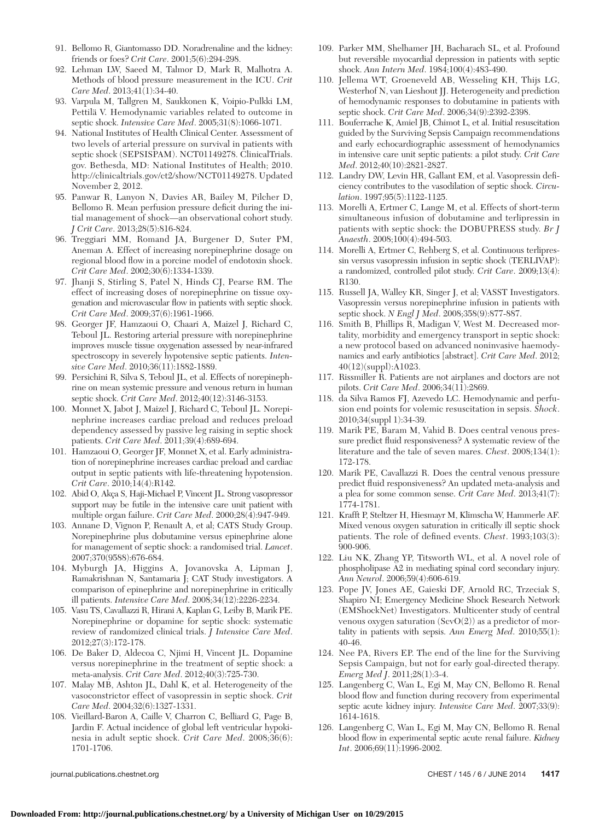- 91. Bellomo R, Giantomasso DD. Noradrenaline and the kidney: friends or foes? *Crit Care*. 2001;5(6):294-298
- 92. Lehman LW, Saeed M, Talmor D, Mark R, Malhotra A. Methods of blood pressure measurement in the ICU . *Crit Care Med.* 2013;41(1):34-40.
- 93. Varpula M, Tallgren M, Saukkonen K, Voipio-Pulkki LM, Pettilä V. Hemodynamic variables related to outcome in septic shock. *Intensive Care Med.* 2005;31(8):1066-1071.
- 94. National Institutes of Health Clinical Center. Assessment of two levels of arterial pressure on survival in patients with septic shock (SEPSISPAM). NCT01149278. ClinicalTrials. gov. Bethesda, MD: National Institutes of Health; 2010.  [http://clinicaltrials.gov/ct2/show/NCT01149278](http://clinicaltrials.gov/ct2/show/NCT00707122) . Updated November 2, 2012 .
- 95. Panwar R, Lanyon N, Davies AR, Bailey M, Pilcher D, Bellomo R. Mean perfusion pressure deficit during the initial management of shock—an observational cohort study . *J Crit Care*. 2013;28(5):816-824.
- 96. Treggiari MM, Romand JA, Burgener D, Suter PM, Aneman A . Effect of increasing norepinephrine dosage on regional blood flow in a porcine model of endotoxin shock. *Crit Care Med.* 2002;30(6):1334-1339.
- 97. Jhanji S, Stirling S, Patel N, Hinds CJ, Pearse RM. The effect of increasing doses of norepinephrine on tissue oxygenation and microvascular flow in patients with septic shock. *Crit Care Med.* 2009;37(6):1961-1966.
- 98. Georger JF, Hamzaoui O, Chaari A, Maizel J, Richard C, Teboul JL . Restoring arterial pressure with norepinephrine improves muscle tissue oxygenation assessed by near-infrared spectroscopy in severely hypotensive septic patients . *Inten*sive Care Med. 2010;36(11):1882-1889.
- 99. Persichini R, Silva S, Teboul JL, et al. Effects of norepinephrine on mean systemic pressure and venous return in human septic shock. *Crit Care Med.* 2012;40(12):3146-3153.
- 100. Monnet X, Jabot J, Maizel J, Richard C, Teboul JL. Norepinephrine increases cardiac preload and reduces preload dependency assessed by passive leg raising in septic shock patients. *Crit Care Med.* 2011;39(4):689-694.
- 101. Hamzaoui O, Georger JF, Monnet X, et al. Early administration of norepinephrine increases cardiac preload and cardiac output in septic patients with life-threatening hypotension . *Crit Care.* 2010;14(4):R142.
- 102. Abid O, Akça S, Haji-Michael P, Vincent JL. Strong vasopressor support may be futile in the intensive care unit patient with multiple organ failure. *Crit Care Med*. 2000;28(4):947-949.
- 103. Annane D, Vignon P, Renault A, et al; CATS Study Group. Norepinephrine plus dobutamine versus epinephrine alone for management of septic shock: a randomised trial . *Lancet* . 2007;370(9588):676-684.
- 104. Myburgh JA, Higgins A, Jovanovska A, Lipman J, Ramakrishnan N, Santamaria J; CAT Study investigators. A comparison of epinephrine and norepinephrine in critically ill patients. *Intensive Care Med.* 2008;34(12):2226-2234.
- 105. Vasu TS, Cavallazzi R, Hirani A, Kaplan G, Leiby B, Marik PE. Norepinephrine or dopamine for septic shock: systematic review of randomized clinical trials . *J Intensive Care Med* . 2012;27(3):172-178.
- 106. De Baker D, Aldecoa C, Njimi H, Vincent JL. Dopamine versus norepinephrine in the treatment of septic shock: a meta-analysis. *Crit Care Med.* 2012;40(3):725-730.
- 107. Malay MB, Ashton JL, Dahl K, et al. Heterogeneity of the vasoconstrictor effect of vasopressin in septic shock . *Crit Care Med.* 2004;32(6):1327-1331.
- 108. Vieillard-Baron A, Caille V, Charron C, Belliard G, Page B, Jardin F. Actual incidence of global left ventricular hypokinesia in adult septic shock. *Crit Care Med*. 2008;36(6): 1701-1706.

- 109. Parker MM, Shelhamer JH, Bacharach SL, et al. Profound but reversible myocardial depression in patients with septic shock. *Ann Intern Med.* 1984;100(4):483-490.
- 110. Jellema WT, Groeneveld AB, Wesseling KH, Thijs LG, Westerhof N, van Lieshout JJ. Heterogeneity and prediction of hemodynamic responses to dobutamine in patients with septic shock. *Crit Care Med.* 2006;34(9):2392-2398.
- 111. Bouferrache K , Amiel JB , Chimot L , et al . Initial resuscitation guided by the Surviving Sepsis Campaign recommendations and early echocardiographic assessment of hemodynamics in intensive care unit septic patients: a pilot study . *Crit Care Med.* 2012;40(10):2821-2827.
- 112. Landry DW, Levin HR, Gallant EM, et al. Vasopressin deficiency contributes to the vasodilation of septic shock . *Circulation*. 1997;95(5):1122-1125.
- 113. Morelli A, Ertmer C, Lange M, et al. Effects of short-term simultaneous infusion of dobutamine and terlipressin in patients with septic shock: the DOBUPRESS study. *Br J Anaesth.* 2008;100(4):494-503.
- 114. Morelli A, Ertmer C, Rehberg S, et al. Continuous terlipressin versus vasopressin infusion in septic shock (TERLIVAP): a randomized, controlled pilot study. *Crit Care*. 2009;13(4): R130.
- 115. Russell JA, Walley KR, Singer J, et al; VASST Investigators. Vasopressin versus norepinephrine infusion in patients with septic shock. *N Engl J Med.* 2008;358(9):877-887.
- 116. Smith B, Phillips R, Madigan V, West M. Decreased mortality, morbidity and emergency transport in septic shock: a new protocol based on advanced noninvasive haemodynamics and early antibiotics [abstract]. *Crit Care Med.* 2012; 40(12)(suppl):A1023 .
- 117. Rissmiller R. Patients are not airplanes and doctors are not pilots. *Crit Care Med.* 2006;34(11):2869.
- 118. da Silva Ramos FJ , Azevedo LC . Hemodynamic and perfusion end points for volemic resuscitation in sepsis . *Shock* . 2010;34(suppl 1):34-39.
- 119. Marik PE, Baram M, Vahid B. Does central venous pressure predict fluid responsiveness? A systematic review of the literature and the tale of seven mares. *Chest*. 2008;134(1): 172 - 178.
- 120. Marik PE, Cavallazzi R. Does the central venous pressure predict fluid responsiveness? An updated meta-analysis and a plea for some common sense. *Crit Care Med*. 2013;41(7): 1774-1781.
- 121. Krafft P, Steltzer H, Hiesmayr M, Klimscha W, Hammerle AF. Mixed venous oxygen saturation in critically ill septic shock patients. The role of defined events. *Chest*. 1993;103(3): 900 - 906 .
- 122. Liu NK, Zhang YP, Titsworth WL, et al. A novel role of phospholipase A2 in mediating spinal cord secondary injury . *Ann Neurol.* 2006;59(4):606-619.
- 123. Pope JV, Jones AE, Gaieski DF, Arnold RC, Trzeciak S, Shapiro NI; Emergency Medicine Shock Research Network (EMShockNet) Investigators . Multicenter study of central venous oxygen saturation  $(SevO(2))$  as a predictor of mortality in patients with sepsis. Ann Emerg Med. 2010;55(1): 40 - 46.
- 124. Nee PA, Rivers EP. The end of the line for the Surviving Sepsis Campaign, but not for early goal-directed therapy . *Emerg Med J.* 2011;28(1):3-4.
- 125. Langenberg C, Wan L, Egi M, May CN, Bellomo R. Renal blood flow and function during recovery from experimental septic acute kidney injury. *Intensive Care Med.* 2007;33(9): 1614-1618.
- 126. Langenberg C, Wan L, Egi M, May CN, Bellomo R. Renal blood flow in experimental septic acute renal failure. *Kidney Int*. 2006;69(11):1996-2002.